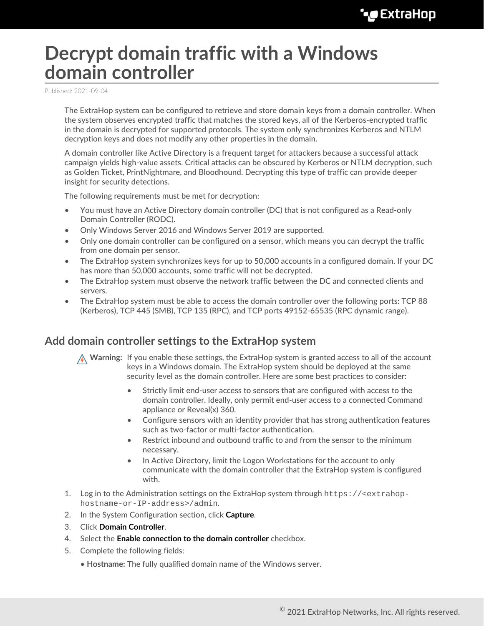# **Decrypt domain traffic with a Windows domain controller**

Published: 2021-09-04

The ExtraHop system can be configured to retrieve and store domain keys from a domain controller. When the system observes encrypted traffic that matches the stored keys, all of the Kerberos-encrypted traffic in the domain is decrypted for supported protocols. The system only synchronizes Kerberos and NTLM decryption keys and does not modify any other properties in the domain.

A domain controller like Active Directory is a frequent target for attackers because a successful attack campaign yields high-value assets. Critical attacks can be obscured by Kerberos or NTLM decryption, such as Golden Ticket, PrintNightmare, and Bloodhound. Decrypting this type of traffic can provide deeper insight for security detections.

The following requirements must be met for decryption:

- You must have an Active Directory domain controller (DC) that is not configured as a Read-only Domain Controller (RODC).
- Only Windows Server 2016 and Windows Server 2019 are supported.
- Only one domain controller can be configured on a sensor, which means you can decrypt the traffic from one domain per sensor.
- The ExtraHop system synchronizes keys for up to 50,000 accounts in a configured domain. If your DC has more than 50,000 accounts, some traffic will not be decrypted.
- The ExtraHop system must observe the network traffic between the DC and connected clients and servers.
- The ExtraHop system must be able to access the domain controller over the following ports: TCP 88 (Kerberos), TCP 445 (SMB), TCP 135 (RPC), and TCP ports 49152-65535 (RPC dynamic range).

## **Add domain controller settings to the ExtraHop system**

**A** Warning: If you enable these settings, the ExtraHop system is granted access to all of the account keys in a Windows domain. The ExtraHop system should be deployed at the same security level as the domain controller. Here are some best practices to consider:

- Strictly limit end-user access to sensors that are configured with access to the domain controller. Ideally, only permit end-user access to a connected Command appliance or Reveal(x) 360.
- Configure sensors with an identity provider that has strong authentication features such as two-factor or multi-factor authentication.
- Restrict inbound and outbound traffic to and from the sensor to the minimum necessary.
- In Active Directory, limit the Logon Workstations for the account to only communicate with the domain controller that the ExtraHop system is configured with.
- 1. Log in to the Administration settings on the ExtraHop system through https://<extrahophostname-or-IP-address>/admin.
- 2. In the System Configuration section, click **Capture**.
- 3. Click **Domain Controller**.
- 4. Select the **Enable connection to the domain controller** checkbox.
- 5. Complete the following fields:
	- **Hostname:** The fully qualified domain name of the Windows server.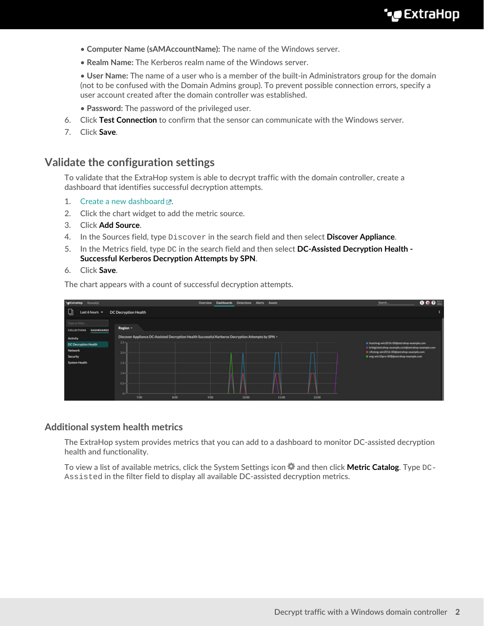- **Computer Name (sAMAccountName):** The name of the Windows server.
- **Realm Name:** The Kerberos realm name of the Windows server.

• **User Name:** The name of a user who is a member of the built-in Administrators group for the domain (not to be confused with the Domain Admins group). To prevent possible connection errors, specify a user account created after the domain controller was established.

- **Password:** The password of the privileged user.
- 6. Click **Test Connection** to confirm that the sensor can communicate with the Windows server.
- 7. Click **Save**.

### **Validate the configuration settings**

To validate that the ExtraHop system is able to decrypt traffic with the domain controller, create a dashboard that identifies successful decryption attempts.

- 1. Create a new dashboard  $\mathbb{Z}$ .
- 2. Click the chart widget to add the metric source.
- 3. Click **Add Source**.
- 4. In the Sources field, type Discover in the search field and then select **Discover Appliance**.
- 5. In the Metrics field, type DC in the search field and then select **DC-Assisted Decryption Health - Successful Kerberos Decryption Attempts by SPN**.
- 6. Click **Save**.

The chart appears with a count of successful decryption attempts.

| Reveal(x)<br>** ExtraHop                                  |                      | Overview                                                                                          | <b>Detections</b><br><b>Dashboards</b> | <b>Alerts</b><br>Assets |       |       | Search.                                                                                         | 000 |
|-----------------------------------------------------------|----------------------|---------------------------------------------------------------------------------------------------|----------------------------------------|-------------------------|-------|-------|-------------------------------------------------------------------------------------------------|-----|
| Last 6 hours =<br>ч                                       | DC Decryption Health |                                                                                                   |                                        |                         |       |       |                                                                                                 |     |
| Type to filter<br><b>DASHBOARDS</b><br><b>COLLECTIONS</b> | Region -             |                                                                                                   |                                        |                         |       |       |                                                                                                 |     |
| Activity                                                  | $2.5 - 1$            | Discover Appliance DC-Assisted Decryption Health Successful Kerberos Decryption Attempts by SPN - |                                        |                         |       |       |                                                                                                 |     |
| DC Decryption Health                                      |                      |                                                                                                   |                                        |                         |       |       | host/eng-win2016-00@extrahop-example.com<br>In krbtgt/extrahop-example.com@extrahop-example.com |     |
| Network                                                   | $20 -$               |                                                                                                   |                                        |                         |       |       | chveng-win2016-00@extrahop-example.com                                                          |     |
| Security<br>System Health                                 | $1.5 -$              |                                                                                                   |                                        |                         |       |       | T im win10pro-00\$@extrahop-example.com                                                         |     |
|                                                           | $10 -$               |                                                                                                   |                                        |                         |       |       |                                                                                                 |     |
|                                                           |                      |                                                                                                   |                                        |                         |       |       |                                                                                                 |     |
|                                                           | $0.5 -$              |                                                                                                   |                                        |                         |       |       |                                                                                                 |     |
|                                                           | $0 -$<br>7:00        | 8:00<br>9:00                                                                                      | 10:00                                  |                         | 11:00 | 12:00 |                                                                                                 |     |

#### **Additional system health metrics**

The ExtraHop system provides metrics that you can add to a dashboard to monitor DC-assisted decryption health and functionality.

To view a list of available metrics, click the System Settings icon  $\bullet$  and then click **Metric Catalog**. Type DC-Assisted in the filter field to display all available DC-assisted decryption metrics.